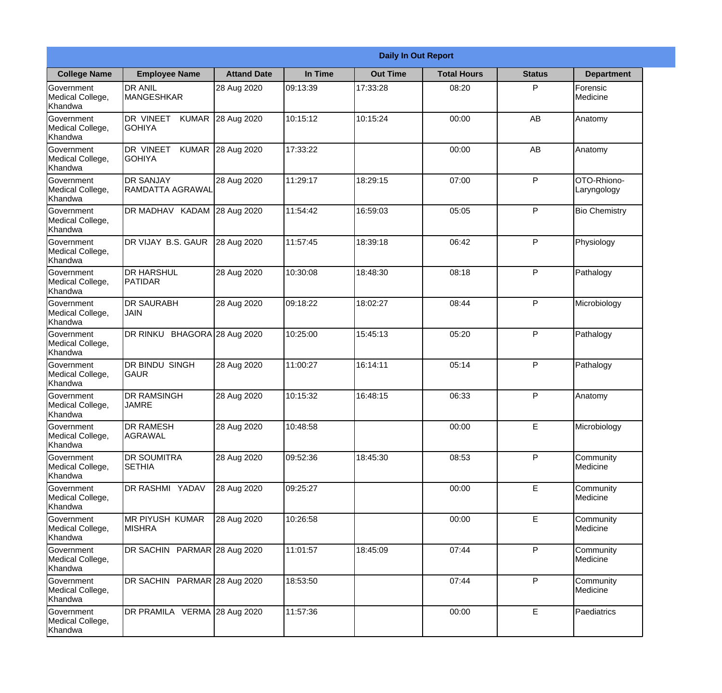|                                                  |                                            |                     | <b>Daily In Out Report</b> |                 |                    |               |                            |
|--------------------------------------------------|--------------------------------------------|---------------------|----------------------------|-----------------|--------------------|---------------|----------------------------|
| <b>College Name</b>                              | <b>Employee Name</b>                       | <b>Attand Date</b>  | In Time                    | <b>Out Time</b> | <b>Total Hours</b> | <b>Status</b> | <b>Department</b>          |
| Government<br>Medical College,<br>Khandwa        | <b>DR ANIL</b><br><b>MANGESHKAR</b>        | 28 Aug 2020         | 09:13:39                   | 17:33:28        | 08:20              | P             | Forensic<br>Medicine       |
| Government<br>Medical College,<br>Khandwa        | DR VINEET<br><b>KUMAR</b><br><b>GOHIYA</b> | 28 Aug 2020         | 10:15:12                   | 10:15:24        | 00:00              | AB            | Anatomy                    |
| Government<br>Medical College,<br>Khandwa        | DR VINEET<br><b>KUMAR</b><br><b>GOHIYA</b> | 28 Aug 2020         | 17:33:22                   |                 | 00:00              | AB            | Anatomy                    |
| Government<br>Medical College,<br>Khandwa        | <b>DR SANJAY</b><br>RAMDATTA AGRAWAL       | 28 Aug 2020         | 11:29:17                   | 18:29:15        | 07:00              | P             | OTO-Rhiono-<br>Laryngology |
| Government<br>Medical College,<br>Khandwa        | DR MADHAV KADAM 28 Aug 2020                |                     | 11:54:42                   | 16:59:03        | 05:05              | P             | <b>Bio Chemistry</b>       |
| Government<br>Medical College,<br>Khandwa        | DR VIJAY B.S. GAUR                         | 28 Aug 2020         | 11:57:45                   | 18:39:18        | 06:42              | P             | Physiology                 |
| <b>Government</b><br>Medical College,<br>Khandwa | <b>DR HARSHUL</b><br> PATIDAR              | 28 Aug 2020         | 10:30:08                   | 18:48:30        | 08:18              | P             | Pathalogy                  |
| <b>Government</b><br>Medical College,<br>Khandwa | <b>DR SAURABH</b><br><b>JAIN</b>           | 28 Aug 2020         | 09:18:22                   | 18:02:27        | 08:44              | P             | Microbiology               |
| <b>Government</b><br>Medical College,<br>Khandwa | DR RINKU                                   | BHAGORA 28 Aug 2020 | 10:25:00                   | 15:45:13        | 05:20              | P             | Pathalogy                  |
| Government<br>Medical College,<br>Khandwa        | <b>DR BINDU SINGH</b><br>GAUR              | 28 Aug 2020         | 11:00:27                   | 16:14:11        | 05:14              | P             | Pathalogy                  |
| Government<br>Medical College,<br>Khandwa        | <b>DR RAMSINGH</b><br><b>JAMRE</b>         | 28 Aug 2020         | 10:15:32                   | 16:48:15        | 06:33              | $\mathsf{P}$  | Anatomy                    |
| Government<br>Medical College,<br>Khandwa        | <b>DR RAMESH</b><br><b>AGRAWAL</b>         | 28 Aug 2020         | 10:48:58                   |                 | 00:00              | E             | Microbiology               |
| Government<br>Medical College,<br>Khandwa        | <b>DR SOUMITRA</b><br><b>SETHIA</b>        | 28 Aug 2020         | 09:52:36                   | 18:45:30        | 08:53              | P             | Community<br>Medicine      |
| <b>Government</b><br>Medical College,<br>Khandwa | DR RASHMI YADAV                            | 28 Aug 2020         | 09:25:27                   |                 | 00:00              | E             | Community<br>Medicine      |
| <b>Government</b><br>Medical College,<br>Khandwa | <b>MR PIYUSH KUMAR</b><br><b>MISHRA</b>    | 28 Aug 2020         | 10:26:58                   |                 | 00:00              | E             | Community<br>Medicine      |
| Government<br>Medical College,<br>Khandwa        | DR SACHIN PARMAR 28 Aug 2020               |                     | 11:01:57                   | 18:45:09        | 07:44              | P             | Community<br>Medicine      |
| Government<br>Medical College,<br>Khandwa        | DR SACHIN PARMAR 28 Aug 2020               |                     | 18:53:50                   |                 | 07:44              | P             | Community<br>Medicine      |
| Government<br>Medical College,<br>Khandwa        | DR PRAMILA VERMA 28 Aug 2020               |                     | 11:57:36                   |                 | 00:00              | E.            | Paediatrics                |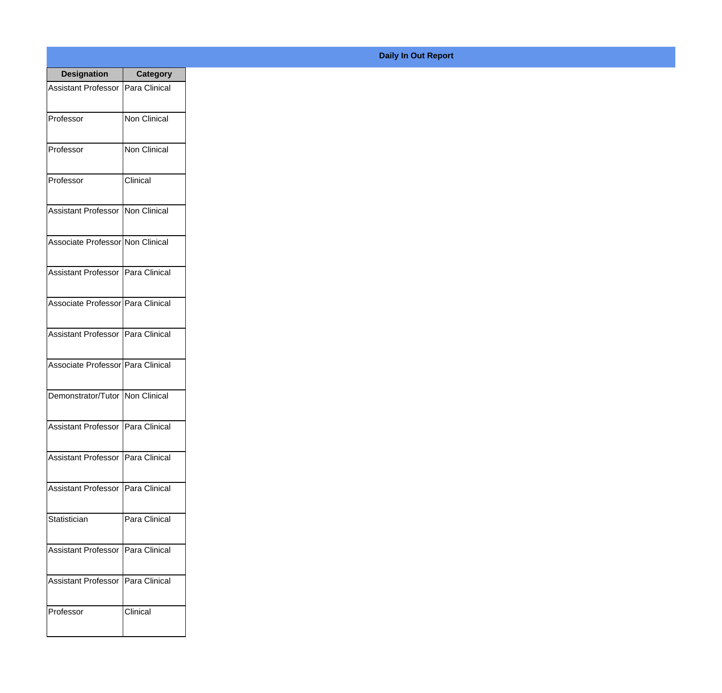| <b>Designation</b>                  | <b>Category</b> |
|-------------------------------------|-----------------|
| <b>Assistant Professor</b>          | Para Clinical   |
| Professor                           | Non Clinical    |
| Professor                           | Non Clinical    |
| Professor                           | Clinical        |
| <b>Assistant Professor</b>          | Non Clinical    |
| Associate Professor Non Clinical    |                 |
| Assistant Professor   Para Clinical |                 |
| Associate Professor   Para Clinical |                 |
| Assistant Professor   Para Clinical |                 |
| Associate Professor   Para Clinical |                 |
| Demonstrator/Tutor   Non Clinical   |                 |
| Assistant Professor   Para Clinical |                 |
| <b>Assistant Professor</b>          | Para Clinical   |
| <b>Assistant Professor</b>          | Para Clinical   |
| Statistician                        | Para Clinical   |
| <b>Assistant Professor</b>          | Para Clinical   |
| <b>Assistant Professor</b>          | Para Clinical   |
| Professor                           | Clinical        |

## **Daily In Out Report**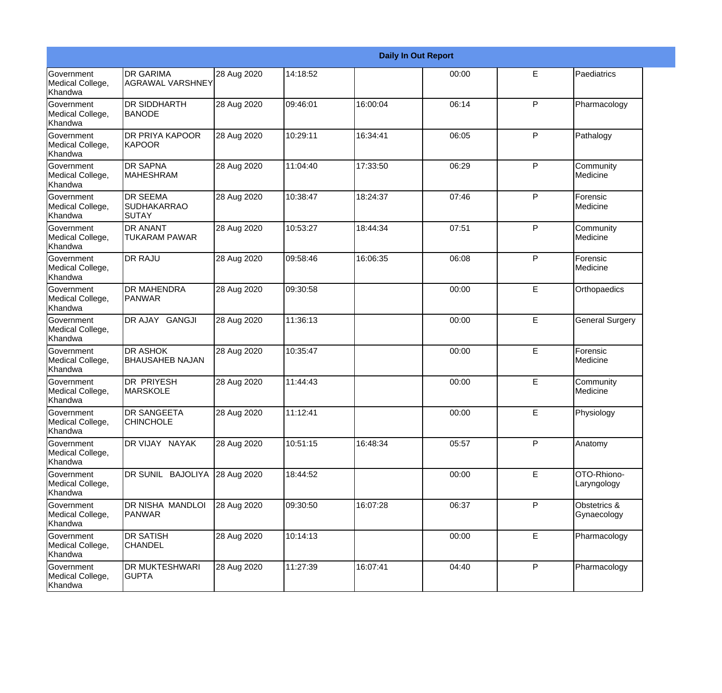|                                           | <b>Daily In Out Report</b>                            |             |          |          |       |              |                             |  |
|-------------------------------------------|-------------------------------------------------------|-------------|----------|----------|-------|--------------|-----------------------------|--|
| Government<br>Medical College,<br>Khandwa | <b>DR GARIMA</b><br><b>AGRAWAL VARSHNEY</b>           | 28 Aug 2020 | 14:18:52 |          | 00:00 | E            | Paediatrics                 |  |
| Government<br>Medical College,<br>Khandwa | <b>DR SIDDHARTH</b><br><b>BANODE</b>                  | 28 Aug 2020 | 09:46:01 | 16:00:04 | 06:14 | $\mathsf{P}$ | Pharmacology                |  |
| Government<br>Medical College,<br>Khandwa | <b>DR PRIYA KAPOOR</b><br><b>KAPOOR</b>               | 28 Aug 2020 | 10:29:11 | 16:34:41 | 06:05 | $\mathsf{P}$ | Pathalogy                   |  |
| Government<br>Medical College,<br>Khandwa | <b>DR SAPNA</b><br>MAHESHRAM                          | 28 Aug 2020 | 11:04:40 | 17:33:50 | 06:29 | $\mathsf{P}$ | Community<br>Medicine       |  |
| Government<br>Medical College,<br>Khandwa | <b>DR SEEMA</b><br><b>SUDHAKARRAO</b><br><b>SUTAY</b> | 28 Aug 2020 | 10:38:47 | 18:24:37 | 07:46 | P            | Forensic<br>Medicine        |  |
| Government<br>Medical College,<br>Khandwa | <b>DR ANANT</b><br><b>TUKARAM PAWAR</b>               | 28 Aug 2020 | 10:53:27 | 18:44:34 | 07:51 | $\mathsf{P}$ | Community<br>Medicine       |  |
| Government<br>Medical College,<br>Khandwa | <b>DR RAJU</b>                                        | 28 Aug 2020 | 09:58:46 | 16:06:35 | 06:08 | P            | Forensic<br>Medicine        |  |
| Government<br>Medical College,<br>Khandwa | <b>DR MAHENDRA</b><br>PANWAR                          | 28 Aug 2020 | 09:30:58 |          | 00:00 | E            | Orthopaedics                |  |
| Government<br>Medical College,<br>Khandwa | DR AJAY GANGJI                                        | 28 Aug 2020 | 11:36:13 |          | 00:00 | E            | <b>General Surgery</b>      |  |
| Government<br>Medical College,<br>Khandwa | <b>DR ASHOK</b><br><b>BHAUSAHEB NAJAN</b>             | 28 Aug 2020 | 10:35:47 |          | 00:00 | E            | Forensic<br>Medicine        |  |
| Government<br>Medical College,<br>Khandwa | <b>DR PRIYESH</b><br>MARSKOLE                         | 28 Aug 2020 | 11:44:43 |          | 00:00 | E            | Community<br>Medicine       |  |
| Government<br>Medical College,<br>Khandwa | <b>DR SANGEETA</b><br><b>CHINCHOLE</b>                | 28 Aug 2020 | 11:12:41 |          | 00:00 | E            | Physiology                  |  |
| Government<br>Medical College,<br>Khandwa | DR VIJAY NAYAK                                        | 28 Aug 2020 | 10:51:15 | 16:48:34 | 05:57 | P            | Anatomy                     |  |
| Government<br>Medical College,<br>Khandwa | DR SUNIL BAJOLIYA 28 Aug 2020                         |             | 18:44:52 |          | 00:00 | E            | OTO-Rhiono-<br>Laryngology  |  |
| Government<br>Medical College,<br>Khandwa | DR NISHA MANDLOI<br>PANWAR                            | 28 Aug 2020 | 09:30:50 | 16:07:28 | 06:37 | P            | Obstetrics &<br>Gynaecology |  |
| Government<br>Medical College,<br>Khandwa | <b>DR SATISH</b><br><b>CHANDEL</b>                    | 28 Aug 2020 | 10:14:13 |          | 00:00 | E            | Pharmacology                |  |
| Government<br>Medical College,<br>Khandwa | DR MUKTESHWARI<br><b>GUPTA</b>                        | 28 Aug 2020 | 11:27:39 | 16:07:41 | 04:40 | $\mathsf{P}$ | Pharmacology                |  |